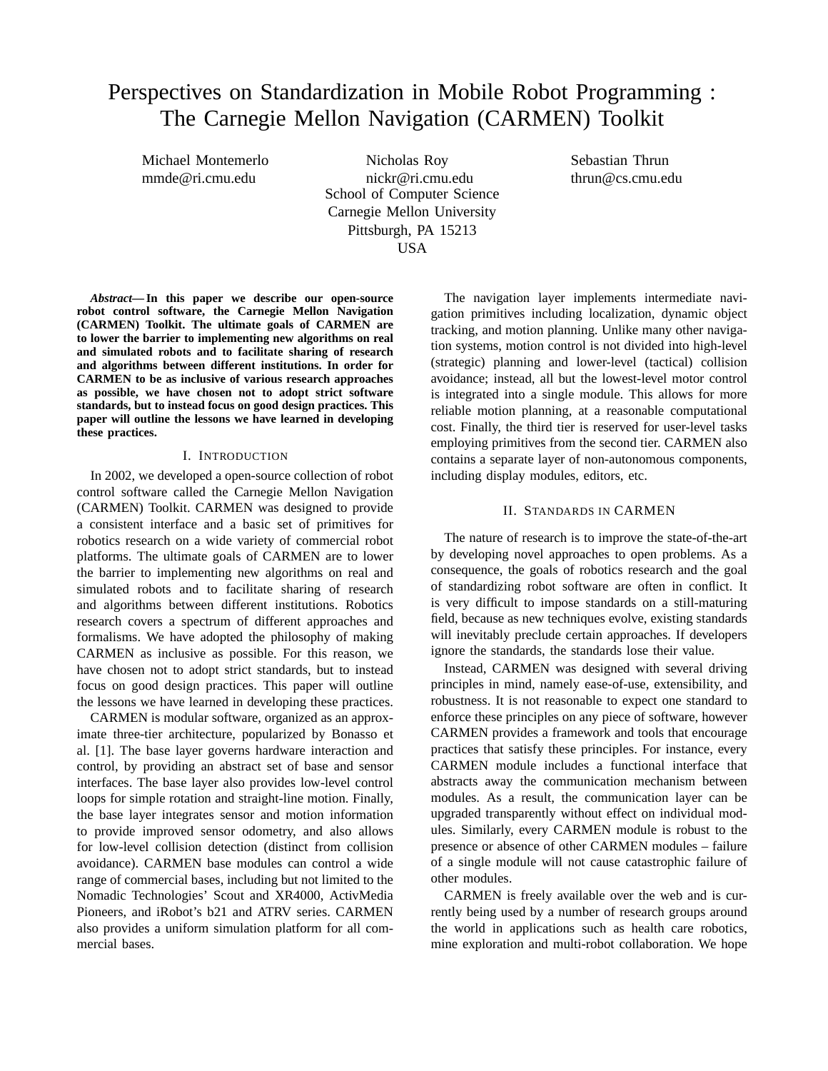# Perspectives on Standardization in Mobile Robot Programming : The Carnegie Mellon Navigation (CARMEN) Toolkit

Michael Montemerlo Nicholas Roy Sebastian Thrun mmde@ri.cmu.edu nickr@ri.cmu.edu thrun@cs.cmu.edu School of Computer Science Carnegie Mellon University Pittsburgh, PA 15213 USA

*Abstract***—In this paper we describe our open-source robot control software, the Carnegie Mellon Navigation (CARMEN) Toolkit. The ultimate goals of CARMEN are to lower the barrier to implementing new algorithms on real and simulated robots and to facilitate sharing of research and algorithms between different institutions. In order for CARMEN to be as inclusive of various research approaches as possible, we have chosen not to adopt strict software standards, but to instead focus on good design practices. This paper will outline the lessons we have learned in developing these practices.**

#### I. INTRODUCTION

In 2002, we developed a open-source collection of robot control software called the Carnegie Mellon Navigation (CARMEN) Toolkit. CARMEN was designed to provide a consistent interface and a basic set of primitives for robotics research on a wide variety of commercial robot platforms. The ultimate goals of CARMEN are to lower the barrier to implementing new algorithms on real and simulated robots and to facilitate sharing of research and algorithms between different institutions. Robotics research covers a spectrum of different approaches and formalisms. We have adopted the philosophy of making CARMEN as inclusive as possible. For this reason, we have chosen not to adopt strict standards, but to instead focus on good design practices. This paper will outline the lessons we have learned in developing these practices.

CARMEN is modular software, organized as an approximate three-tier architecture, popularized by Bonasso et al. [1]. The base layer governs hardware interaction and control, by providing an abstract set of base and sensor interfaces. The base layer also provides low-level control loops for simple rotation and straight-line motion. Finally, the base layer integrates sensor and motion information to provide improved sensor odometry, and also allows for low-level collision detection (distinct from collision avoidance). CARMEN base modules can control a wide range of commercial bases, including but not limited to the Nomadic Technologies' Scout and XR4000, ActivMedia Pioneers, and iRobot's b21 and ATRV series. CARMEN also provides a uniform simulation platform for all commercial bases.

The navigation layer implements intermediate navigation primitives including localization, dynamic object tracking, and motion planning. Unlike many other navigation systems, motion control is not divided into high-level (strategic) planning and lower-level (tactical) collision avoidance; instead, all but the lowest-level motor control is integrated into a single module. This allows for more reliable motion planning, at a reasonable computational cost. Finally, the third tier is reserved for user-level tasks employing primitives from the second tier. CARMEN also contains a separate layer of non-autonomous components, including display modules, editors, etc.

#### II. STANDARDS IN CARMEN

The nature of research is to improve the state-of-the-art by developing novel approaches to open problems. As a consequence, the goals of robotics research and the goal of standardizing robot software are often in conflict. It is very difficult to impose standards on a still-maturing field, because as new techniques evolve, existing standards will inevitably preclude certain approaches. If developers ignore the standards, the standards lose their value.

Instead, CARMEN was designed with several driving principles in mind, namely ease-of-use, extensibility, and robustness. It is not reasonable to expect one standard to enforce these principles on any piece of software, however CARMEN provides a framework and tools that encourage practices that satisfy these principles. For instance, every CARMEN module includes a functional interface that abstracts away the communication mechanism between modules. As a result, the communication layer can be upgraded transparently without effect on individual modules. Similarly, every CARMEN module is robust to the presence or absence of other CARMEN modules – failure of a single module will not cause catastrophic failure of other modules.

CARMEN is freely available over the web and is currently being used by a number of research groups around the world in applications such as health care robotics, mine exploration and multi-robot collaboration. We hope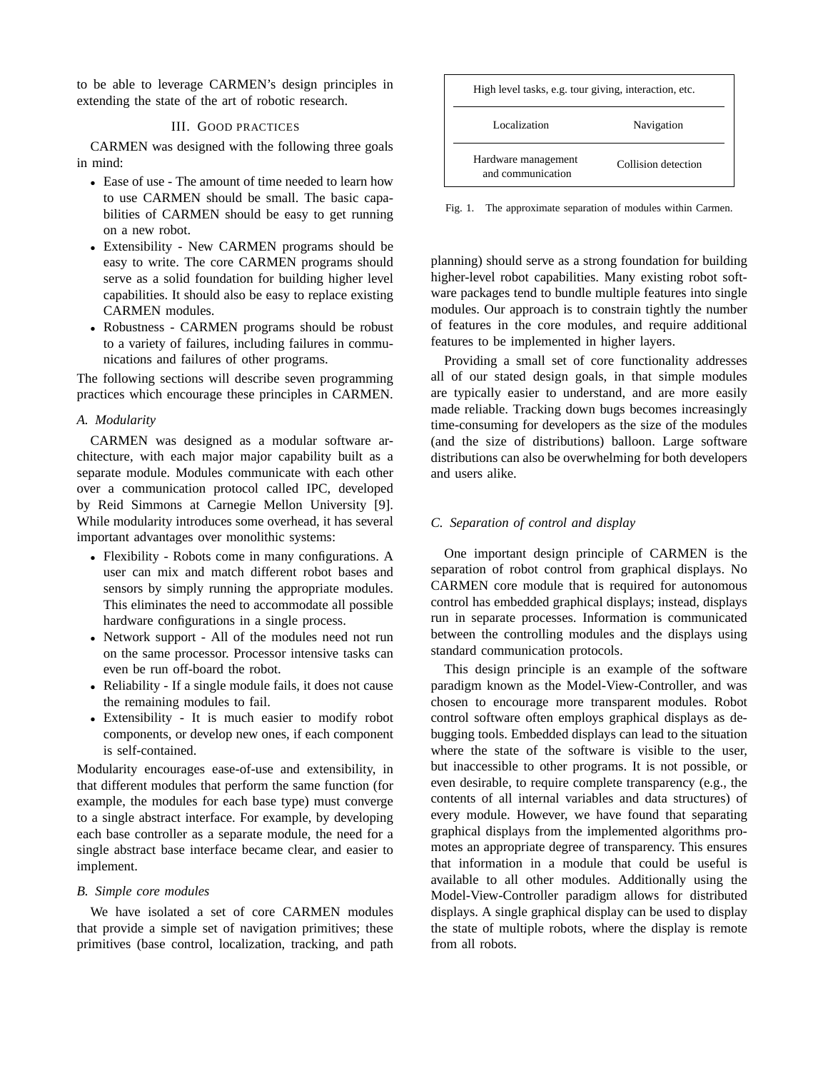to be able to leverage CARMEN's design principles in extending the state of the art of robotic research.

# III. GOOD PRACTICES

CARMEN was designed with the following three goals in mind:

- Ease of use The amount of time needed to learn how to use CARMEN should be small. The basic capabilities of CARMEN should be easy to get running on a new robot.
- Extensibility New CARMEN programs should be easy to write. The core CARMEN programs should serve as a solid foundation for building higher level capabilities. It should also be easy to replace existing CARMEN modules.
- Robustness CARMEN programs should be robust to a variety of failures, including failures in communications and failures of other programs.

The following sections will describe seven programming practices which encourage these principles in CARMEN.

## *A. Modularity*

CARMEN was designed as a modular software architecture, with each major major capability built as a separate module. Modules communicate with each other over a communication protocol called IPC, developed by Reid Simmons at Carnegie Mellon University [9]. While modularity introduces some overhead, it has several important advantages over monolithic systems:

- Flexibility Robots come in many configurations. A user can mix and match different robot bases and sensors by simply running the appropriate modules. This eliminates the need to accommodate all possible hardware configurations in a single process.
- Network support All of the modules need not run on the same processor. Processor intensive tasks can even be run off-board the robot.
- Reliability If a single module fails, it does not cause the remaining modules to fail.
- Extensibility It is much easier to modify robot components, or develop new ones, if each component is self-contained.

Modularity encourages ease-of-use and extensibility, in that different modules that perform the same function (for example, the modules for each base type) must converge to a single abstract interface. For example, by developing each base controller as a separate module, the need for a single abstract base interface became clear, and easier to implement.

### *B. Simple core modules*

We have isolated a set of core CARMEN modules that provide a simple set of navigation primitives; these primitives (base control, localization, tracking, and path



Fig. 1. The approximate separation of modules within Carmen.

planning) should serve as a strong foundation for building higher-level robot capabilities. Many existing robot software packages tend to bundle multiple features into single modules. Our approach is to constrain tightly the number of features in the core modules, and require additional features to be implemented in higher layers.

Providing a small set of core functionality addresses all of our stated design goals, in that simple modules are typically easier to understand, and are more easily made reliable. Tracking down bugs becomes increasingly time-consuming for developers as the size of the modules (and the size of distributions) balloon. Large software distributions can also be overwhelming for both developers and users alike.

## *C. Separation of control and display*

One important design principle of CARMEN is the separation of robot control from graphical displays. No CARMEN core module that is required for autonomous control has embedded graphical displays; instead, displays run in separate processes. Information is communicated between the controlling modules and the displays using standard communication protocols.

This design principle is an example of the software paradigm known as the Model-View-Controller, and was chosen to encourage more transparent modules. Robot control software often employs graphical displays as debugging tools. Embedded displays can lead to the situation where the state of the software is visible to the user, but inaccessible to other programs. It is not possible, or even desirable, to require complete transparency (e.g., the contents of all internal variables and data structures) of every module. However, we have found that separating graphical displays from the implemented algorithms promotes an appropriate degree of transparency. This ensures that information in a module that could be useful is available to all other modules. Additionally using the Model-View-Controller paradigm allows for distributed displays. A single graphical display can be used to display the state of multiple robots, where the display is remote from all robots.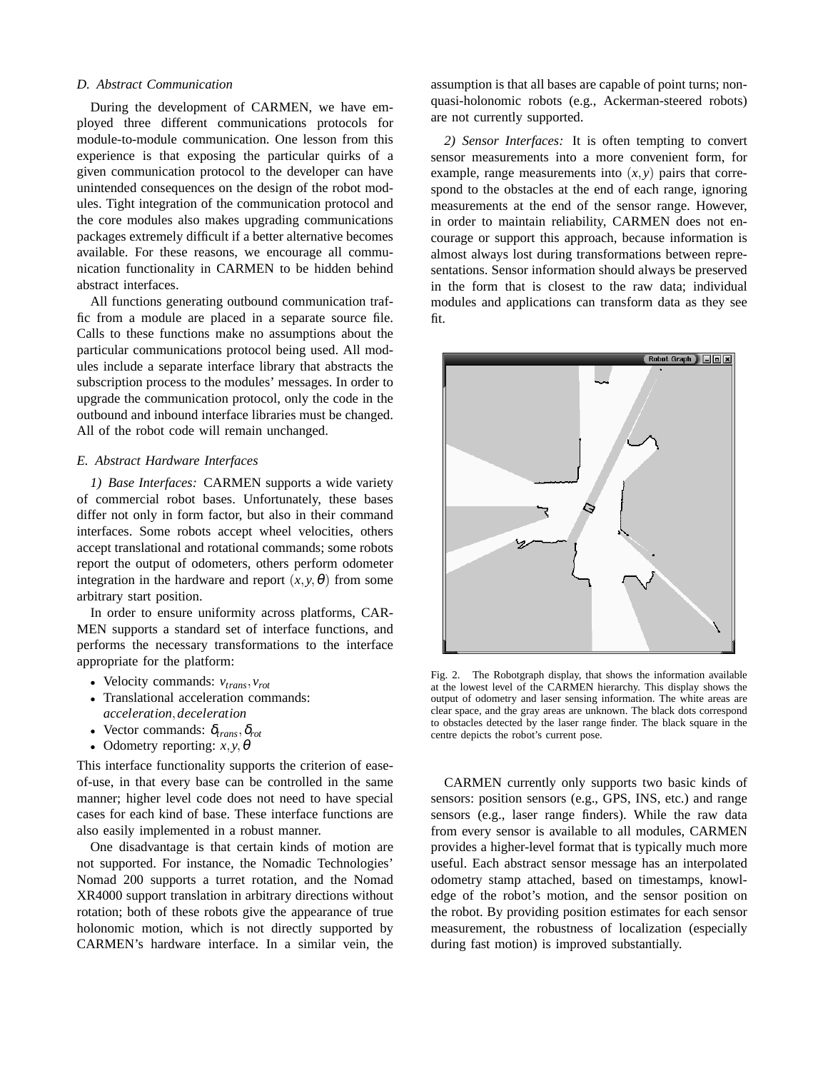#### *D. Abstract Communication*

During the development of CARMEN, we have employed three different communications protocols for module-to-module communication. One lesson from this experience is that exposing the particular quirks of a given communication protocol to the developer can have unintended consequences on the design of the robot modules. Tight integration of the communication protocol and the core modules also makes upgrading communications packages extremely difficult if a better alternative becomes available. For these reasons, we encourage all communication functionality in CARMEN to be hidden behind abstract interfaces.

All functions generating outbound communication traffic from a module are placed in a separate source file. Calls to these functions make no assumptions about the particular communications protocol being used. All modules include a separate interface library that abstracts the subscription process to the modules' messages. In order to upgrade the communication protocol, only the code in the outbound and inbound interface libraries must be changed. All of the robot code will remain unchanged.

## *E. Abstract Hardware Interfaces*

*1) Base Interfaces:* CARMEN supports a wide variety of commercial robot bases. Unfortunately, these bases differ not only in form factor, but also in their command interfaces. Some robots accept wheel velocities, others accept translational and rotational commands; some robots report the output of odometers, others perform odometer integration in the hardware and report  $(x, y, \theta)$  from some arbitrary start position.

In order to ensure uniformity across platforms, CAR-MEN supports a standard set of interface functions, and performs the necessary transformations to the interface appropriate for the platform:

- Velocity commands: *vtrans*, *vrot*
- Translational acceleration commands: *acceleration*,*deceleration*
- Vector commands:  $\delta_{trans}$ ,  $\delta_{rot}$
- Odometry reporting:  $x, y, \theta$

This interface functionality supports the criterion of easeof-use, in that every base can be controlled in the same manner; higher level code does not need to have special cases for each kind of base. These interface functions are also easily implemented in a robust manner.

One disadvantage is that certain kinds of motion are not supported. For instance, the Nomadic Technologies' Nomad 200 supports a turret rotation, and the Nomad XR4000 support translation in arbitrary directions without rotation; both of these robots give the appearance of true holonomic motion, which is not directly supported by CARMEN's hardware interface. In a similar vein, the

assumption is that all bases are capable of point turns; nonquasi-holonomic robots (e.g., Ackerman-steered robots) are not currently supported.

*2) Sensor Interfaces:* It is often tempting to convert sensor measurements into a more convenient form, for example, range measurements into  $(x, y)$  pairs that correspond to the obstacles at the end of each range, ignoring measurements at the end of the sensor range. However, in order to maintain reliability, CARMEN does not encourage or support this approach, because information is almost always lost during transformations between representations. Sensor information should always be preserved in the form that is closest to the raw data; individual modules and applications can transform data as they see fit.



Fig. 2. The Robotgraph display, that shows the information available at the lowest level of the CARMEN hierarchy. This display shows the output of odometry and laser sensing information. The white areas are clear space, and the gray areas are unknown. The black dots correspond to obstacles detected by the laser range finder. The black square in the centre depicts the robot's current pose.

CARMEN currently only supports two basic kinds of sensors: position sensors (e.g., GPS, INS, etc.) and range sensors (e.g., laser range finders). While the raw data from every sensor is available to all modules, CARMEN provides a higher-level format that is typically much more useful. Each abstract sensor message has an interpolated odometry stamp attached, based on timestamps, knowledge of the robot's motion, and the sensor position on the robot. By providing position estimates for each sensor measurement, the robustness of localization (especially during fast motion) is improved substantially.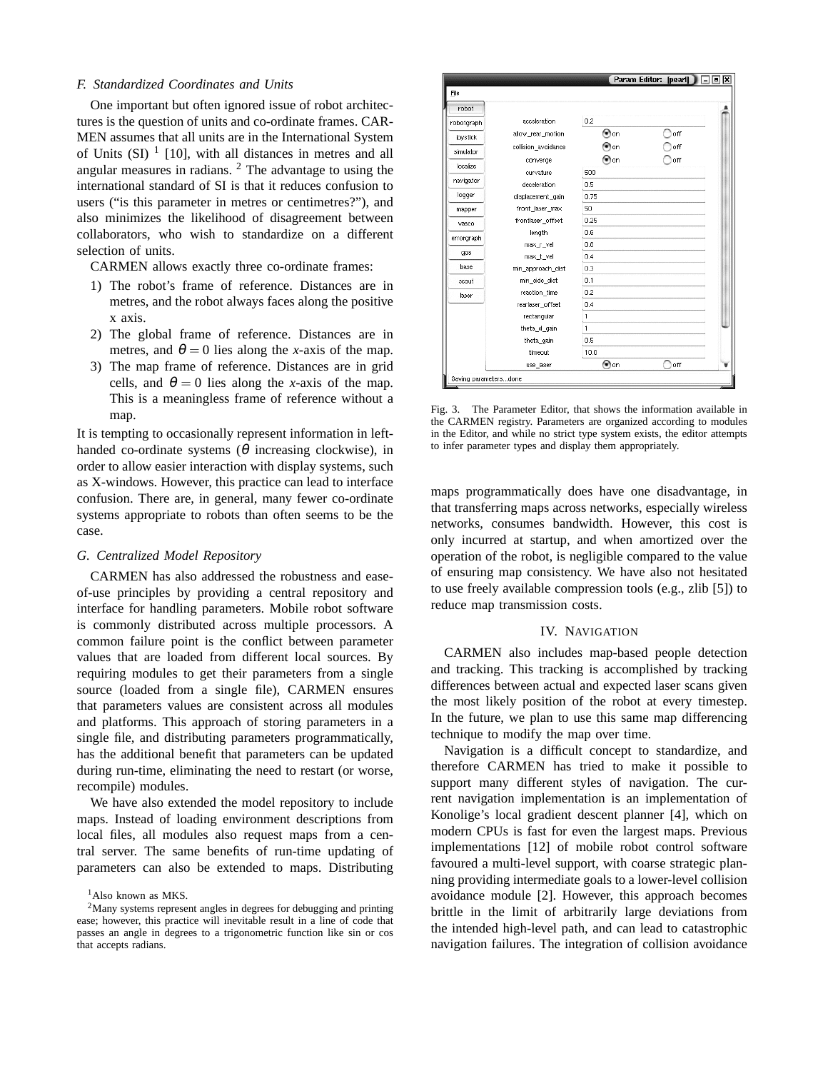#### *F. Standardized Coordinates and Units*

One important but often ignored issue of robot architectures is the question of units and co-ordinate frames. CAR-MEN assumes that all units are in the International System of Units  $(SI)^{1}$  [10], with all distances in metres and all angular measures in radians.  $2$  The advantage to using the international standard of SI is that it reduces confusion to users ("is this parameter in metres or centimetres?"), and also minimizes the likelihood of disagreement between collaborators, who wish to standardize on a different selection of units.

CARMEN allows exactly three co-ordinate frames:

- 1) The robot's frame of reference. Distances are in metres, and the robot always faces along the positive x axis.
- 2) The global frame of reference. Distances are in metres, and  $\theta = 0$  lies along the *x*-axis of the map.
- 3) The map frame of reference. Distances are in grid cells, and  $\theta = 0$  lies along the *x*-axis of the map. This is a meaningless frame of reference without a map.

It is tempting to occasionally represent information in lefthanded co-ordinate systems ( $\theta$  increasing clockwise), in order to allow easier interaction with display systems, such as X-windows. However, this practice can lead to interface confusion. There are, in general, many fewer co-ordinate systems appropriate to robots than often seems to be the case.

### *G. Centralized Model Repository*

CARMEN has also addressed the robustness and easeof-use principles by providing a central repository and interface for handling parameters. Mobile robot software is commonly distributed across multiple processors. A common failure point is the conflict between parameter values that are loaded from different local sources. By requiring modules to get their parameters from a single source (loaded from a single file), CARMEN ensures that parameters values are consistent across all modules and platforms. This approach of storing parameters in a single file, and distributing parameters programmatically, has the additional benefit that parameters can be updated during run-time, eliminating the need to restart (or worse, recompile) modules.

We have also extended the model repository to include maps. Instead of loading environment descriptions from local files, all modules also request maps from a central server. The same benefits of run-time updating of parameters can also be extended to maps. Distributing



Fig. 3. The Parameter Editor, that shows the information available in the CARMEN registry. Parameters are organized according to modules in the Editor, and while no strict type system exists, the editor attempts to infer parameter types and display them appropriately.

maps programmatically does have one disadvantage, in that transferring maps across networks, especially wireless networks, consumes bandwidth. However, this cost is only incurred at startup, and when amortized over the operation of the robot, is negligible compared to the value of ensuring map consistency. We have also not hesitated to use freely available compression tools (e.g., zlib [5]) to reduce map transmission costs.

## IV. NAVIGATION

CARMEN also includes map-based people detection and tracking. This tracking is accomplished by tracking differences between actual and expected laser scans given the most likely position of the robot at every timestep. In the future, we plan to use this same map differencing technique to modify the map over time.

Navigation is a difficult concept to standardize, and therefore CARMEN has tried to make it possible to support many different styles of navigation. The current navigation implementation is an implementation of Konolige's local gradient descent planner [4], which on modern CPUs is fast for even the largest maps. Previous implementations [12] of mobile robot control software favoured a multi-level support, with coarse strategic planning providing intermediate goals to a lower-level collision avoidance module [2]. However, this approach becomes brittle in the limit of arbitrarily large deviations from the intended high-level path, and can lead to catastrophic navigation failures. The integration of collision avoidance

<sup>&</sup>lt;sup>1</sup>Also known as MKS.

<sup>2</sup>Many systems represent angles in degrees for debugging and printing ease; however, this practice will inevitable result in a line of code that passes an angle in degrees to a trigonometric function like sin or cos that accepts radians.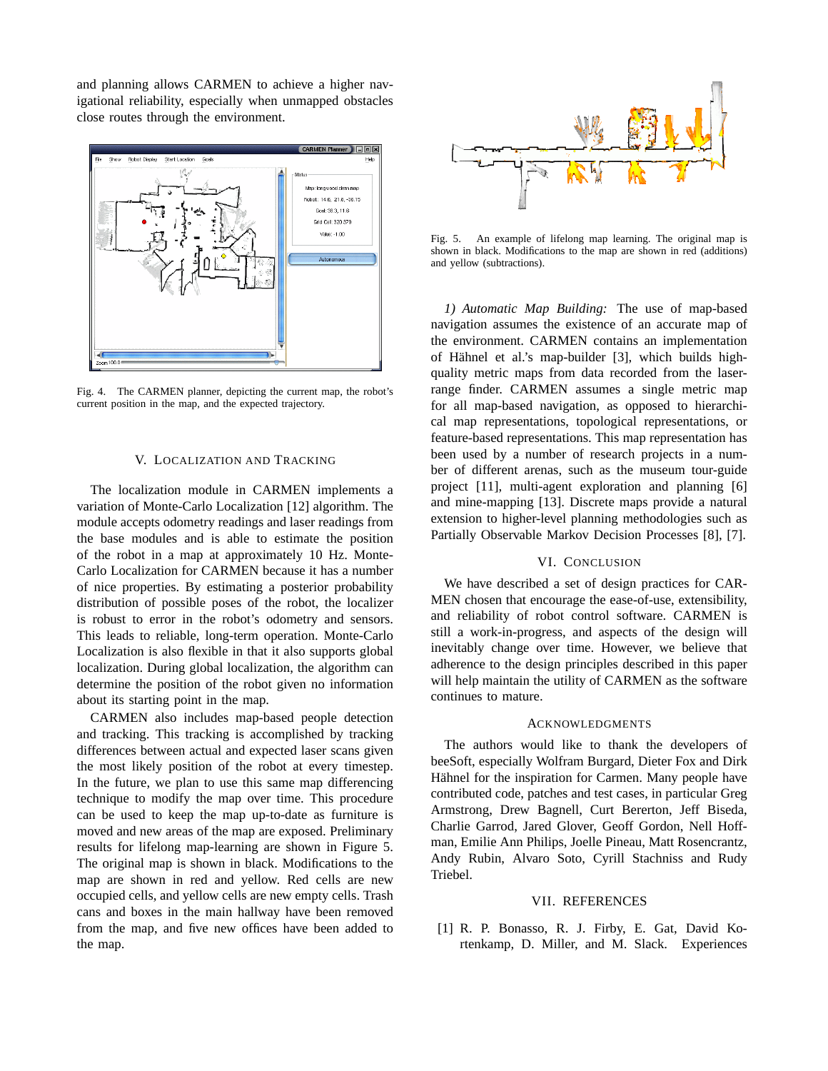and planning allows CARMEN to achieve a higher navigational reliability, especially when unmapped obstacles close routes through the environment.



Fig. 4. The CARMEN planner, depicting the current map, the robot's current position in the map, and the expected trajectory.

## V. LOCALIZATION AND TRACKING

The localization module in CARMEN implements a variation of Monte-Carlo Localization [12] algorithm. The module accepts odometry readings and laser readings from the base modules and is able to estimate the position of the robot in a map at approximately 10 Hz. Monte-Carlo Localization for CARMEN because it has a number of nice properties. By estimating a posterior probability distribution of possible poses of the robot, the localizer is robust to error in the robot's odometry and sensors. This leads to reliable, long-term operation. Monte-Carlo Localization is also flexible in that it also supports global localization. During global localization, the algorithm can determine the position of the robot given no information about its starting point in the map.

CARMEN also includes map-based people detection and tracking. This tracking is accomplished by tracking differences between actual and expected laser scans given the most likely position of the robot at every timestep. In the future, we plan to use this same map differencing technique to modify the map over time. This procedure can be used to keep the map up-to-date as furniture is moved and new areas of the map are exposed. Preliminary results for lifelong map-learning are shown in Figure 5. The original map is shown in black. Modifications to the map are shown in red and yellow. Red cells are new occupied cells, and yellow cells are new empty cells. Trash cans and boxes in the main hallway have been removed from the map, and five new offices have been added to the map.



Fig. 5. An example of lifelong map learning. The original map is shown in black. Modifications to the map are shown in red (additions) and yellow (subtractions).

*1) Automatic Map Building:* The use of map-based navigation assumes the existence of an accurate map of the environment. CARMEN contains an implementation of Hähnel et al.'s map-builder [3], which builds highquality metric maps from data recorded from the laserrange finder. CARMEN assumes a single metric map for all map-based navigation, as opposed to hierarchical map representations, topological representations, or feature-based representations. This map representation has been used by a number of research projects in a number of different arenas, such as the museum tour-guide project [11], multi-agent exploration and planning [6] and mine-mapping [13]. Discrete maps provide a natural extension to higher-level planning methodologies such as Partially Observable Markov Decision Processes [8], [7].

#### VI. CONCLUSION

We have described a set of design practices for CAR-MEN chosen that encourage the ease-of-use, extensibility, and reliability of robot control software. CARMEN is still a work-in-progress, and aspects of the design will inevitably change over time. However, we believe that adherence to the design principles described in this paper will help maintain the utility of CARMEN as the software continues to mature.

#### ACKNOWLEDGMENTS

The authors would like to thank the developers of beeSoft, especially Wolfram Burgard, Dieter Fox and Dirk Hähnel for the inspiration for Carmen. Many people have contributed code, patches and test cases, in particular Greg Armstrong, Drew Bagnell, Curt Bererton, Jeff Biseda, Charlie Garrod, Jared Glover, Geoff Gordon, Nell Hoffman, Emilie Ann Philips, Joelle Pineau, Matt Rosencrantz, Andy Rubin, Alvaro Soto, Cyrill Stachniss and Rudy Triebel.

## VII. REFERENCES

[1] R. P. Bonasso, R. J. Firby, E. Gat, David Kortenkamp, D. Miller, and M. Slack. Experiences